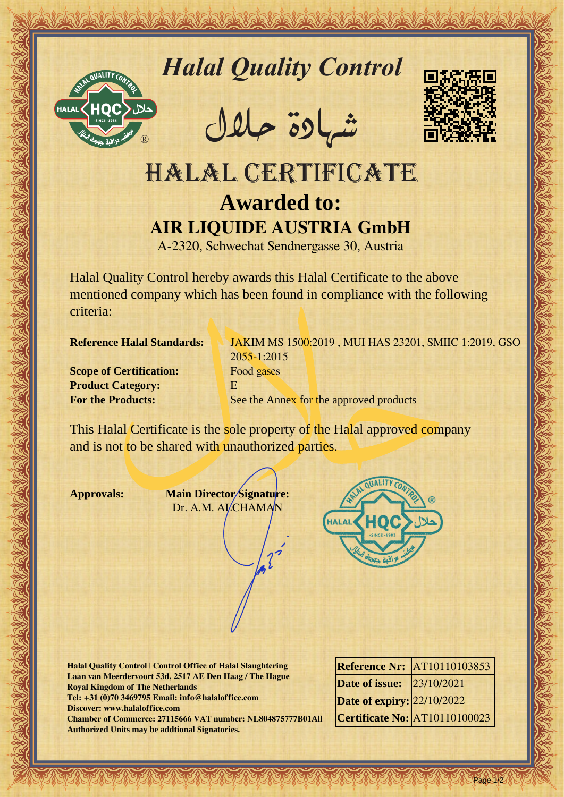

*Halal Quality Control*

REACTOR AND THE REAL PROPERTY OF THE REAL PROPERTY

�شهادة حالل



## Hallal Quality Control Districts (2014)<br>
HALAL CERTIFICATE<br>
ARLOWSED TO USE CAN THE CANNON CONTRACTED CONTRACTED SUPERIOR CONTRACTED SUPERIOR (2019)<br>
ARR LIQUIDE AUSTRIA GIBBE STATISTICS CONTRACTED SUPERIOR (2019)<br>
ALAID Q HALAL CERTIFICATE **Awarded to: AIR LIQUIDE AUSTRIA GmbH**

A-2320, Schwechat Sendnergasse 30, Austria

Halal Quality Control hereby awards this Halal Certificate to the above mentioned company which has been found in compliance with the following criteria:

**Scope of Certification:** Food gases **Product Category:** E

**Reference Halal Standards:** JAKIM MS 1500:2019, MUI HAS 23201, SMIIC 1:2019, GSO 2055-1:2015 **For the Products:** See the Annex for the approved products

This Halal Certificate is the sole property of the Halal approved company and is not to be shared with unauthorized parties.

**Approvals: Main Director Signature:** Dr. A.M. ALCHAMAN



**Halal Quality Control | Control Office of Halal Slaughtering Laan van Meerdervoort 53d, 2517 AE Den Haag / The Hague Royal Kingdom of The Netherlands Tel: +31 (0)70 3469795 Email: info@halaloffice.com Discover: www.halaloffice.com Chamber of Commerce: 27115666 VAT number: NL804875777B01All Authorized Units may be addtional Signatories.**

|                                  | <b>Reference Nr: AT10110103853</b> |
|----------------------------------|------------------------------------|
| <b>Date of issue:</b> 23/10/2021 |                                    |
| Date of expiry: 22/10/2022       |                                    |
|                                  | Certificate No: AT10110100023      |

Page 1/2